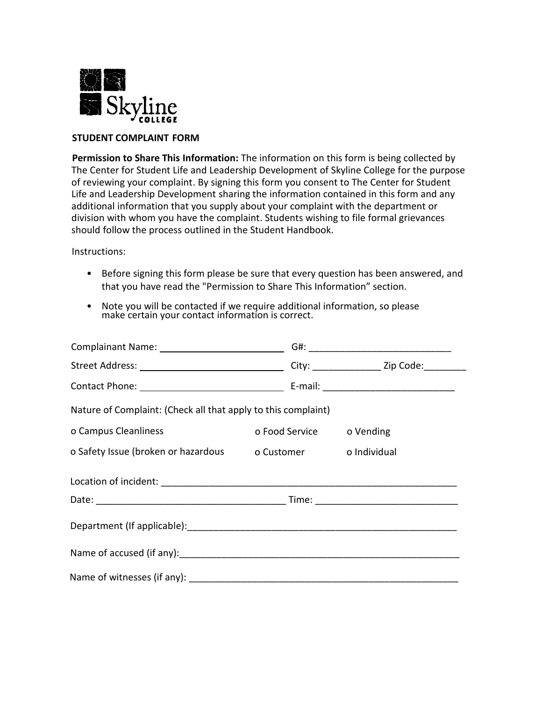

## **STUDENT COMPLAINT FORM**

**Permission to Share This Information:** The information on this form is being collected by The Center for Student Life and Leadership Development of Skyline College for the purpose of reviewing your complaint. By signing this form you consent to The Center for Student Life and Leadership Development sharing the information contained in this form and any additional information that you supply about your complaint with the department or division with whom you have the complaint. Students wishing to file formal grievances should follow the process outlined in the Student Handbook.

Instructions:

- Before signing this form please be sure that every question has been answered, and that you have read the "Permission to Share This Information" section.
- Note you will be contacted if we require additional information, so please make certain your contact information is correct.

| Nature of Complaint: (Check all that apply to this complaint) |                          |  |  |
|---------------------------------------------------------------|--------------------------|--|--|
| o Campus Cleanliness                                          | o Food Service o Vending |  |  |
| o Safety Issue (broken or hazardous o Customer o Individual   |                          |  |  |
|                                                               |                          |  |  |
|                                                               |                          |  |  |
|                                                               |                          |  |  |
|                                                               |                          |  |  |
|                                                               |                          |  |  |